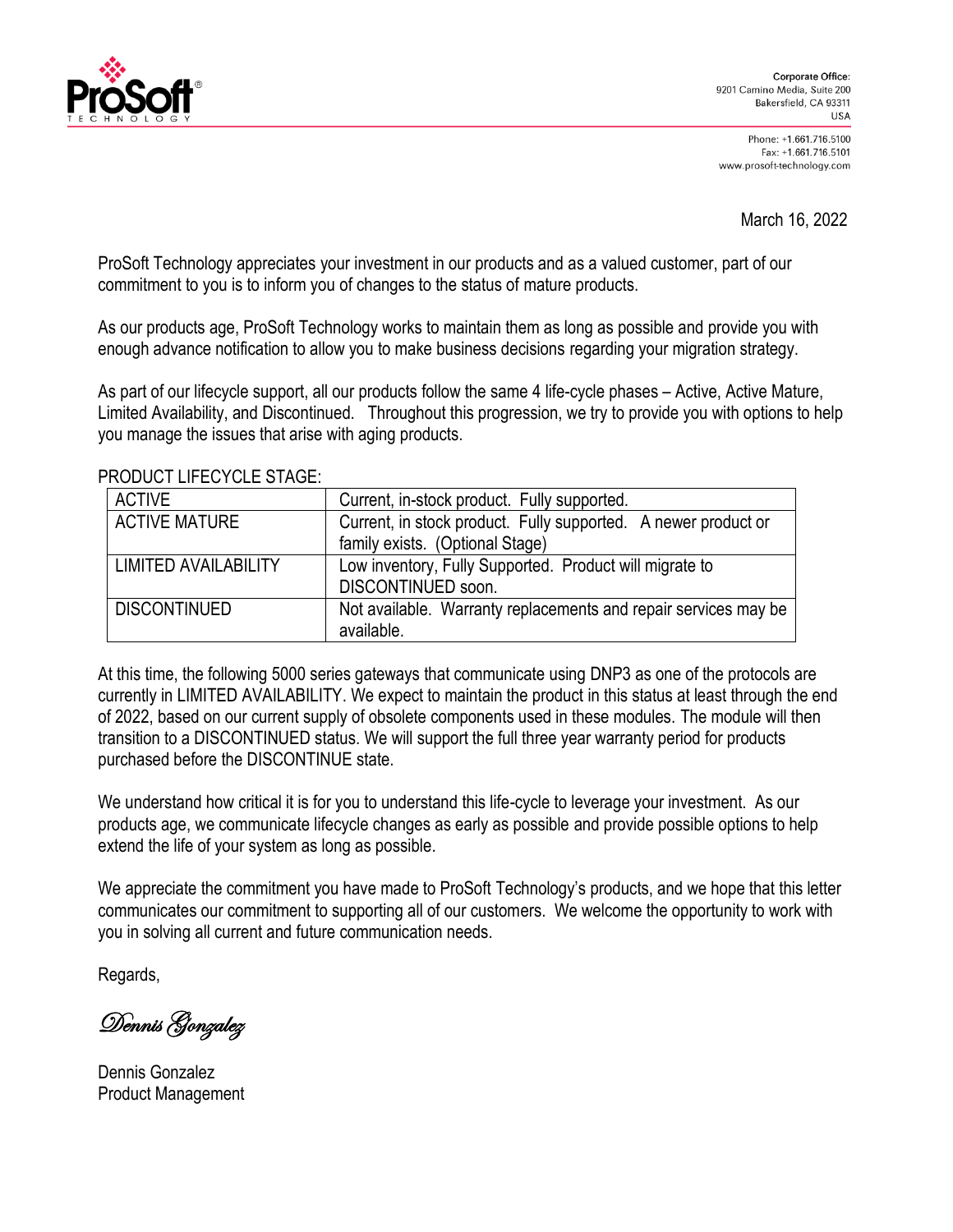

Phone: +1.661.716.5100 Fax: +1.661.716.5101 www.prosoft-technology.com

March 16, 2022

ProSoft Technology appreciates your investment in our products and as a valued customer, part of our commitment to you is to inform you of changes to the status of mature products.

As our products age, ProSoft Technology works to maintain them as long as possible and provide you with enough advance notification to allow you to make business decisions regarding your migration strategy.

As part of our lifecycle support, all our products follow the same 4 life-cycle phases – Active, Active Mature, Limited Availability, and Discontinued. Throughout this progression, we try to provide you with options to help you manage the issues that arise with aging products.

| <b>ACTIVE</b>               | Current, in-stock product. Fully supported.                     |  |
|-----------------------------|-----------------------------------------------------------------|--|
| <b>ACTIVE MATURE</b>        | Current, in stock product. Fully supported. A newer product or  |  |
|                             | family exists. (Optional Stage)                                 |  |
| <b>LIMITED AVAILABILITY</b> | Low inventory, Fully Supported. Product will migrate to         |  |
|                             | DISCONTINUED soon.                                              |  |
| <b>DISCONTINUED</b>         | Not available. Warranty replacements and repair services may be |  |
|                             | available.                                                      |  |

PRODUCT LIFECYCLE STAGE:

At this time, the following 5000 series gateways that communicate using DNP3 as one of the protocols are currently in LIMITED AVAILABILITY. We expect to maintain the product in this status at least through the end of 2022, based on our current supply of obsolete components used in these modules. The module will then transition to a DISCONTINUED status. We will support the full three year warranty period for products purchased before the DISCONTINUE state.

We understand how critical it is for you to understand this life-cycle to leverage your investment. As our products age, we communicate lifecycle changes as early as possible and provide possible options to help extend the life of your system as long as possible.

We appreciate the commitment you have made to ProSoft Technology's products, and we hope that this letter communicates our commitment to supporting all of our customers. We welcome the opportunity to work with you in solving all current and future communication needs.

Regards,

Dennis Gonzalez

Dennis Gonzalez Product Management